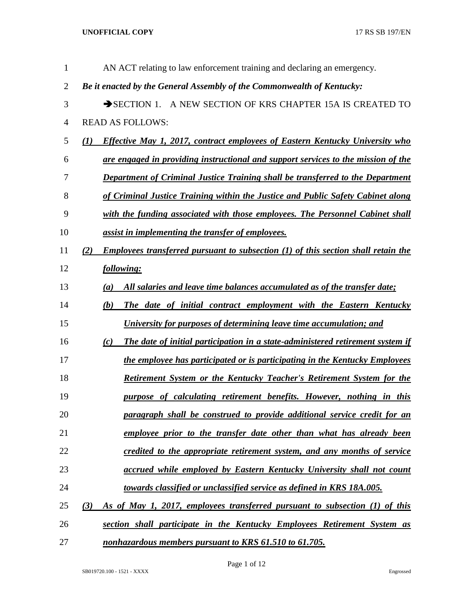| $\mathbf{1}$   | AN ACT relating to law enforcement training and declaring an emergency.                    |
|----------------|--------------------------------------------------------------------------------------------|
| $\overline{2}$ | Be it enacted by the General Assembly of the Commonwealth of Kentucky:                     |
| 3              | SECTION 1. A NEW SECTION OF KRS CHAPTER 15A IS CREATED TO                                  |
| $\overline{4}$ | <b>READ AS FOLLOWS:</b>                                                                    |
| 5              | <b>Effective May 1, 2017, contract employees of Eastern Kentucky University who</b><br>(I) |
| 6              | are engaged in providing instructional and support services to the mission of the          |
| 7              | Department of Criminal Justice Training shall be transferred to the Department             |
| 8              | of Criminal Justice Training within the Justice and Public Safety Cabinet along            |
| 9              | with the funding associated with those employees. The Personnel Cabinet shall              |
| 10             | assist in implementing the transfer of employees.                                          |
| 11             | Employees transferred pursuant to subsection (1) of this section shall retain the<br>(2)   |
| 12             | following:                                                                                 |
| 13             | All salaries and leave time balances accumulated as of the transfer date;<br>(a)           |
| 14             | The date of initial contract employment with the Eastern Kentucky<br>(b)                   |
| 15             | University for purposes of determining leave time accumulation; and                        |
| 16             | The date of initial participation in a state-administered retirement system if<br>(c)      |
| 17             | the employee has participated or is participating in the Kentucky Employees                |
| 18             | Retirement System or the Kentucky Teacher's Retirement System for the                      |
| 19             | purpose of calculating retirement benefits. However, nothing in this                       |
| 20             | paragraph shall be construed to provide additional service credit for an                   |
| 21             | employee prior to the transfer date other than what has already been                       |
| 22             | credited to the appropriate retirement system, and any months of service                   |
| 23             | accrued while employed by Eastern Kentucky University shall not count                      |
| 24             | towards classified or unclassified service as defined in KRS 18A.005.                      |
| 25             | As of May 1, 2017, employees transferred pursuant to subsection (1) of this<br>(3)         |
| 26             | section shall participate in the Kentucky Employees Retirement System as                   |
| 27             | nonhazardous members pursuant to KRS 61.510 to 61.705.                                     |

Page 1 of 12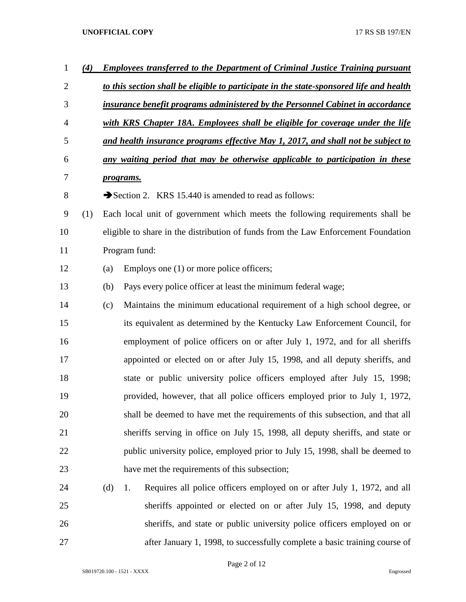| $\mathbf 1$    | (4) |     | <b>Employees transferred to the Department of Criminal Justice Training pursuant</b>    |  |  |
|----------------|-----|-----|-----------------------------------------------------------------------------------------|--|--|
| $\overline{2}$ |     |     | to this section shall be eligible to participate in the state-sponsored life and health |  |  |
| 3              |     |     | insurance benefit programs administered by the Personnel Cabinet in accordance          |  |  |
| $\overline{4}$ |     |     | with KRS Chapter 18A. Employees shall be eligible for coverage under the life           |  |  |
| 5              |     |     | and health insurance programs effective May 1, 2017, and shall not be subject to        |  |  |
| 6              |     |     | any waiting period that may be otherwise applicable to participation in these           |  |  |
| 7              |     |     | programs.                                                                               |  |  |
| 8              |     |     | Section 2. KRS 15.440 is amended to read as follows:                                    |  |  |
| 9              | (1) |     | Each local unit of government which meets the following requirements shall be           |  |  |
| 10             |     |     | eligible to share in the distribution of funds from the Law Enforcement Foundation      |  |  |
| 11             |     |     | Program fund:                                                                           |  |  |
| 12             |     | (a) | Employs one (1) or more police officers;                                                |  |  |
| 13             |     | (b) | Pays every police officer at least the minimum federal wage;                            |  |  |
| 14             |     | (c) | Maintains the minimum educational requirement of a high school degree, or               |  |  |
| 15             |     |     | its equivalent as determined by the Kentucky Law Enforcement Council, for               |  |  |
| 16             |     |     | employment of police officers on or after July 1, 1972, and for all sheriffs            |  |  |
| 17             |     |     | appointed or elected on or after July 15, 1998, and all deputy sheriffs, and            |  |  |
| 18             |     |     | state or public university police officers employed after July 15, 1998;                |  |  |
| 19             |     |     | provided, however, that all police officers employed prior to July 1, 1972,             |  |  |
| 20             |     |     | shall be deemed to have met the requirements of this subsection, and that all           |  |  |
| 21             |     |     | sheriffs serving in office on July 15, 1998, all deputy sheriffs, and state or          |  |  |
| 22             |     |     | public university police, employed prior to July 15, 1998, shall be deemed to           |  |  |
| 23             |     |     | have met the requirements of this subsection;                                           |  |  |
| 24             |     | (d) | Requires all police officers employed on or after July 1, 1972, and all<br>1.           |  |  |
| 25             |     |     | sheriffs appointed or elected on or after July 15, 1998, and deputy                     |  |  |
| 26             |     |     | sheriffs, and state or public university police officers employed on or                 |  |  |
| 27             |     |     | after January 1, 1998, to successfully complete a basic training course of              |  |  |

Page 2 of 12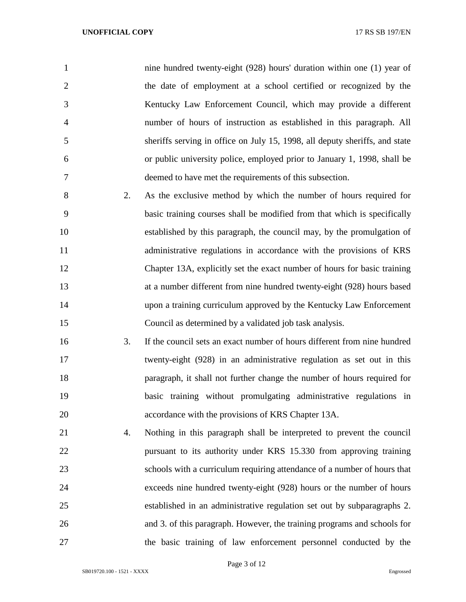| $\mathbf{1}$   |    | nine hundred twenty-eight (928) hours' duration within one (1) year of                                                                                                                                                           |
|----------------|----|----------------------------------------------------------------------------------------------------------------------------------------------------------------------------------------------------------------------------------|
| $\overline{2}$ |    | the date of employment at a school certified or recognized by the                                                                                                                                                                |
| 3              |    | Kentucky Law Enforcement Council, which may provide a different                                                                                                                                                                  |
| $\overline{4}$ |    | number of hours of instruction as established in this paragraph. All                                                                                                                                                             |
| 5              |    | sheriffs serving in office on July 15, 1998, all deputy sheriffs, and state                                                                                                                                                      |
| 6              |    | or public university police, employed prior to January 1, 1998, shall be                                                                                                                                                         |
| 7              |    | deemed to have met the requirements of this subsection.                                                                                                                                                                          |
| 8              | 2. | As the exclusive method by which the number of hours required for                                                                                                                                                                |
| 9              |    | basic training courses shall be modified from that which is specifically                                                                                                                                                         |
| 10             |    | established by this paragraph, the council may, by the promulgation of                                                                                                                                                           |
| 11             |    | administrative regulations in accordance with the provisions of KRS                                                                                                                                                              |
| 12             |    | Chapter 13A, explicitly set the exact number of hours for basic training                                                                                                                                                         |
| 13             |    | at a number different from nine hundred twenty-eight (928) hours based                                                                                                                                                           |
| 14             |    | upon a training curriculum approved by the Kentucky Law Enforcement                                                                                                                                                              |
| 15             |    | Council as determined by a validated job task analysis.                                                                                                                                                                          |
| 16             | 3. | If the council sets an exact number of hours different from nine hundred                                                                                                                                                         |
| 17             |    | twenty-eight (928) in an administrative regulation as set out in this                                                                                                                                                            |
| 18             |    | paragraph, it shall not further change the number of hours required for                                                                                                                                                          |
| 19             |    | basic training without promulgating administrative regulations in                                                                                                                                                                |
| 20             |    | accordance with the provisions of KRS Chapter 13A.                                                                                                                                                                               |
| $^{\sim}$ 1    |    | $\mathbf{M}$ at the set of the set of the set of the set of the set of the set of the set of the set of the set of the set of the set of the set of the set of the set of the set of the set of the set of the set of the set of |

 4. Nothing in this paragraph shall be interpreted to prevent the council pursuant to its authority under KRS 15.330 from approving training schools with a curriculum requiring attendance of a number of hours that exceeds nine hundred twenty-eight (928) hours or the number of hours established in an administrative regulation set out by subparagraphs 2. and 3. of this paragraph. However, the training programs and schools for the basic training of law enforcement personnel conducted by the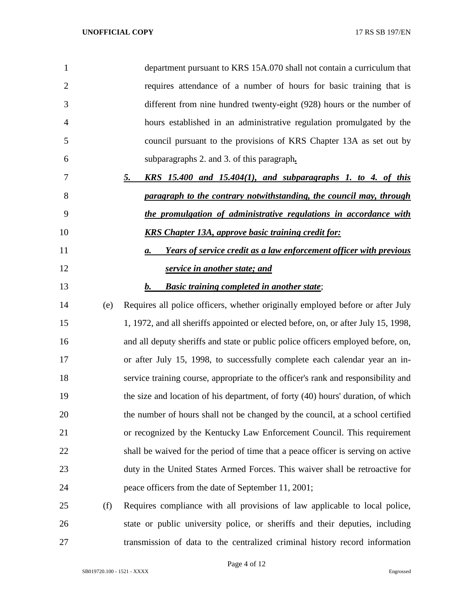| 1              |     | department pursuant to KRS 15A.070 shall not contain a curriculum that             |
|----------------|-----|------------------------------------------------------------------------------------|
| $\overline{2}$ |     | requires attendance of a number of hours for basic training that is                |
| 3              |     | different from nine hundred twenty-eight (928) hours or the number of              |
| $\overline{4}$ |     | hours established in an administrative regulation promulgated by the               |
| 5              |     | council pursuant to the provisions of KRS Chapter 13A as set out by                |
| 6              |     | subparagraphs 2. and 3. of this paragraph.                                         |
| 7              |     | $KRS$ 15.400 and 15.404(1), and subparagraphs 1. to 4. of this<br>5.               |
| 8              |     | paragraph to the contrary notwithstanding, the council may, through                |
| 9              |     | the promulgation of administrative regulations in accordance with                  |
| 10             |     | <b>KRS Chapter 13A, approve basic training credit for:</b>                         |
| 11             |     | Years of service credit as a law enforcement officer with previous<br><b>a.</b>    |
| 12             |     | service in another state; and                                                      |
| 13             |     | <b>Basic training completed in another state;</b><br>$\mathbf{b}$ .                |
| 14             | (e) | Requires all police officers, whether originally employed before or after July     |
| 15             |     | 1, 1972, and all sheriffs appointed or elected before, on, or after July 15, 1998, |
| 16             |     | and all deputy sheriffs and state or public police officers employed before, on,   |
| 17             |     | or after July 15, 1998, to successfully complete each calendar year an in-         |
| 18             |     | service training course, appropriate to the officer's rank and responsibility and  |
| 19             |     | the size and location of his department, of forty (40) hours' duration, of which   |
| 20             |     | the number of hours shall not be changed by the council, at a school certified     |
| 21             |     | or recognized by the Kentucky Law Enforcement Council. This requirement            |
| 22             |     | shall be waived for the period of time that a peace officer is serving on active   |
| 23             |     | duty in the United States Armed Forces. This waiver shall be retroactive for       |
| 24             |     | peace officers from the date of September 11, 2001;                                |
| 25             | (f) | Requires compliance with all provisions of law applicable to local police,         |
| 26             |     | state or public university police, or sheriffs and their deputies, including       |
| 27             |     | transmission of data to the centralized criminal history record information        |

Page 4 of 12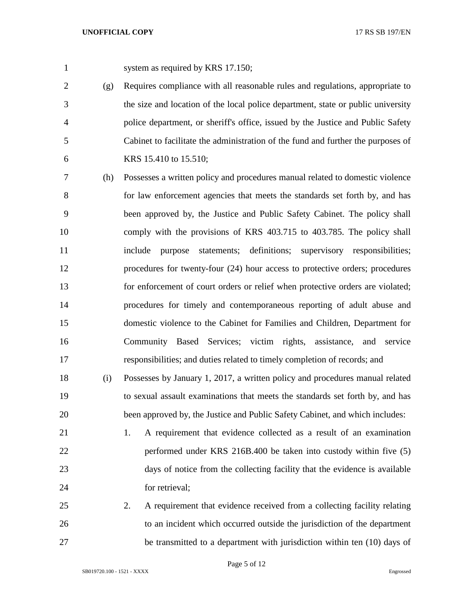1 system as required by KRS 17.150;

 (g) Requires compliance with all reasonable rules and regulations, appropriate to the size and location of the local police department, state or public university police department, or sheriff's office, issued by the Justice and Public Safety Cabinet to facilitate the administration of the fund and further the purposes of KRS 15.410 to 15.510;

 (h) Possesses a written policy and procedures manual related to domestic violence for law enforcement agencies that meets the standards set forth by, and has been approved by, the Justice and Public Safety Cabinet. The policy shall comply with the provisions of KRS 403.715 to 403.785. The policy shall include purpose statements; definitions; supervisory responsibilities; procedures for twenty-four (24) hour access to protective orders; procedures for enforcement of court orders or relief when protective orders are violated; procedures for timely and contemporaneous reporting of adult abuse and domestic violence to the Cabinet for Families and Children, Department for Community Based Services; victim rights, assistance, and service responsibilities; and duties related to timely completion of records; and

 (i) Possesses by January 1, 2017, a written policy and procedures manual related to sexual assault examinations that meets the standards set forth by, and has been approved by, the Justice and Public Safety Cabinet, and which includes:

 1. A requirement that evidence collected as a result of an examination performed under KRS 216B.400 be taken into custody within five (5) days of notice from the collecting facility that the evidence is available for retrieval;

 2. A requirement that evidence received from a collecting facility relating to an incident which occurred outside the jurisdiction of the department be transmitted to a department with jurisdiction within ten (10) days of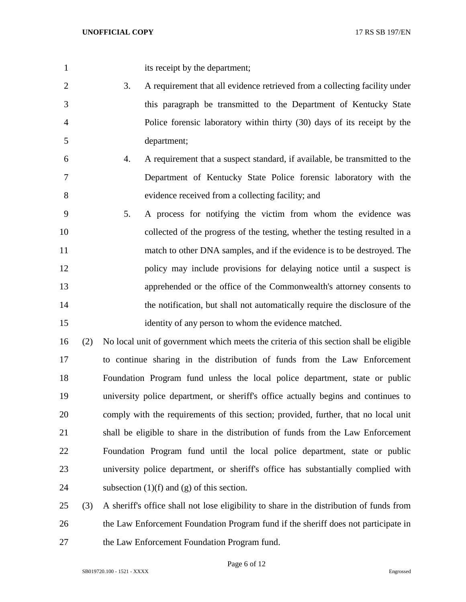its receipt by the department;

 3. A requirement that all evidence retrieved from a collecting facility under this paragraph be transmitted to the Department of Kentucky State Police forensic laboratory within thirty (30) days of its receipt by the department;

- 4. A requirement that a suspect standard, if available, be transmitted to the Department of Kentucky State Police forensic laboratory with the evidence received from a collecting facility; and
- 5. A process for notifying the victim from whom the evidence was collected of the progress of the testing, whether the testing resulted in a match to other DNA samples, and if the evidence is to be destroyed. The policy may include provisions for delaying notice until a suspect is apprehended or the office of the Commonwealth's attorney consents to the notification, but shall not automatically require the disclosure of the identity of any person to whom the evidence matched.

 (2) No local unit of government which meets the criteria of this section shall be eligible to continue sharing in the distribution of funds from the Law Enforcement Foundation Program fund unless the local police department, state or public university police department, or sheriff's office actually begins and continues to comply with the requirements of this section; provided, further, that no local unit shall be eligible to share in the distribution of funds from the Law Enforcement Foundation Program fund until the local police department, state or public university police department, or sheriff's office has substantially complied with 24 subsection  $(1)(f)$  and  $(g)$  of this section.

 (3) A sheriff's office shall not lose eligibility to share in the distribution of funds from the Law Enforcement Foundation Program fund if the sheriff does not participate in the Law Enforcement Foundation Program fund.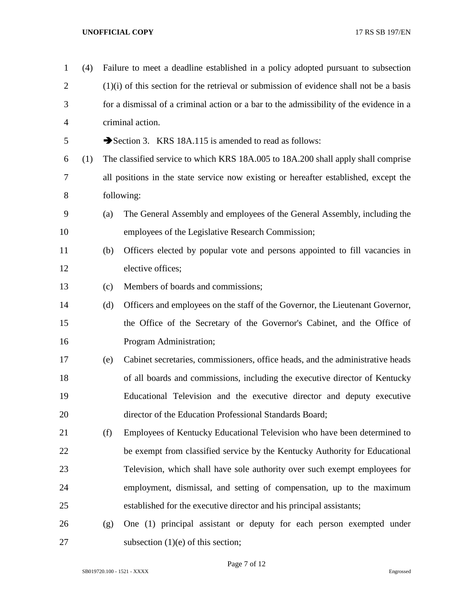| $\mathbf{1}$   | (4) | Failure to meet a deadline established in a policy adopted pursuant to subsection         |                                                                                      |  |
|----------------|-----|-------------------------------------------------------------------------------------------|--------------------------------------------------------------------------------------|--|
| $\overline{2}$ |     | $(1)(i)$ of this section for the retrieval or submission of evidence shall not be a basis |                                                                                      |  |
| 3              |     | for a dismissal of a criminal action or a bar to the admissibility of the evidence in a   |                                                                                      |  |
| $\overline{4}$ |     |                                                                                           | criminal action.                                                                     |  |
| 5              |     |                                                                                           | Section 3. KRS 18A.115 is amended to read as follows:                                |  |
| 6              | (1) |                                                                                           | The classified service to which KRS 18A.005 to 18A.200 shall apply shall comprise    |  |
| 7              |     |                                                                                           | all positions in the state service now existing or hereafter established, except the |  |
| 8              |     |                                                                                           | following:                                                                           |  |
| 9              |     | (a)                                                                                       | The General Assembly and employees of the General Assembly, including the            |  |
| 10             |     |                                                                                           | employees of the Legislative Research Commission;                                    |  |
| 11             |     | (b)                                                                                       | Officers elected by popular vote and persons appointed to fill vacancies in          |  |
| 12             |     |                                                                                           | elective offices;                                                                    |  |
| 13             |     | (c)                                                                                       | Members of boards and commissions;                                                   |  |
| 14             |     | (d)                                                                                       | Officers and employees on the staff of the Governor, the Lieutenant Governor,        |  |
| 15             |     |                                                                                           | the Office of the Secretary of the Governor's Cabinet, and the Office of             |  |
| 16             |     |                                                                                           | Program Administration;                                                              |  |
| 17             |     | (e)                                                                                       | Cabinet secretaries, commissioners, office heads, and the administrative heads       |  |
| 18             |     |                                                                                           | of all boards and commissions, including the executive director of Kentucky          |  |
| 19             |     |                                                                                           | Educational Television and the executive director and deputy executive               |  |
| 20             |     |                                                                                           | director of the Education Professional Standards Board;                              |  |
| 21             |     | (f)                                                                                       | Employees of Kentucky Educational Television who have been determined to             |  |
| 22             |     |                                                                                           | be exempt from classified service by the Kentucky Authority for Educational          |  |
| 23             |     |                                                                                           | Television, which shall have sole authority over such exempt employees for           |  |
| 24             |     |                                                                                           | employment, dismissal, and setting of compensation, up to the maximum                |  |
| 25             |     |                                                                                           | established for the executive director and his principal assistants;                 |  |
| 26             |     | (g)                                                                                       | One (1) principal assistant or deputy for each person exempted under                 |  |
| 27             |     |                                                                                           | subsection $(1)(e)$ of this section;                                                 |  |

Page 7 of 12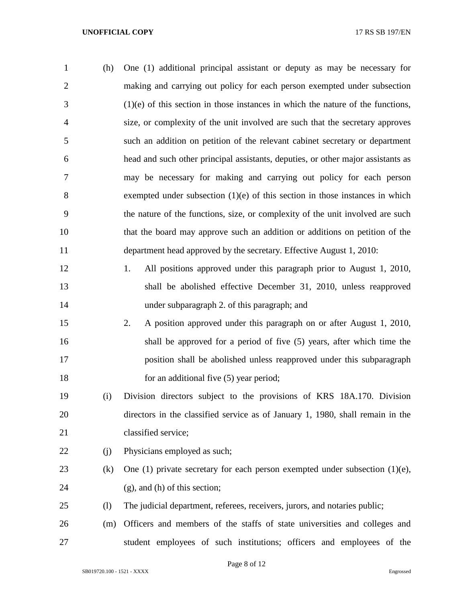| $\mathbf{1}$   | (h) | One (1) additional principal assistant or deputy as may be necessary for          |
|----------------|-----|-----------------------------------------------------------------------------------|
| 2              |     | making and carrying out policy for each person exempted under subsection          |
| 3              |     | $(1)(e)$ of this section in those instances in which the nature of the functions, |
| $\overline{4}$ |     | size, or complexity of the unit involved are such that the secretary approves     |
| 5              |     | such an addition on petition of the relevant cabinet secretary or department      |
| 6              |     | head and such other principal assistants, deputies, or other major assistants as  |
| $\tau$         |     | may be necessary for making and carrying out policy for each person               |
| 8              |     | exempted under subsection $(1)(e)$ of this section in those instances in which    |
| 9              |     | the nature of the functions, size, or complexity of the unit involved are such    |
| 10             |     | that the board may approve such an addition or additions on petition of the       |
| 11             |     | department head approved by the secretary. Effective August 1, 2010:              |
|                |     |                                                                                   |

- 1. All positions approved under this paragraph prior to August 1, 2010, shall be abolished effective December 31, 2010, unless reapproved under subparagraph 2. of this paragraph; and
- 2. A position approved under this paragraph on or after August 1, 2010, shall be approved for a period of five (5) years, after which time the position shall be abolished unless reapproved under this subparagraph 18 for an additional five (5) year period;
- (i) Division directors subject to the provisions of KRS 18A.170. Division directors in the classified service as of January 1, 1980, shall remain in the classified service;
- 22 (i) Physicians employed as such;
- (k) One (1) private secretary for each person exempted under subsection (1)(e), 24 (g), and (h) of this section;
- (l) The judicial department, referees, receivers, jurors, and notaries public;
- (m) Officers and members of the staffs of state universities and colleges and student employees of such institutions; officers and employees of the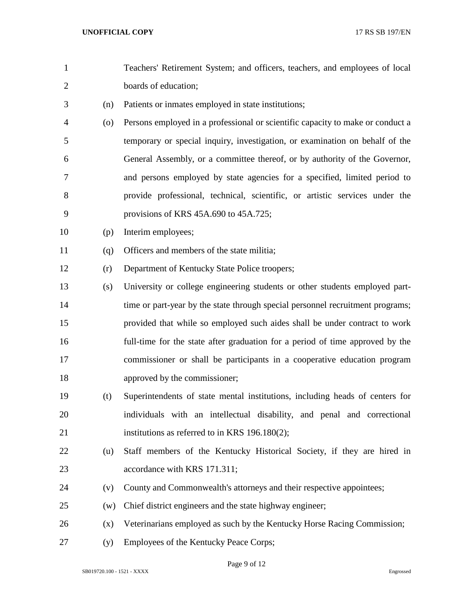- Teachers' Retirement System; and officers, teachers, and employees of local boards of education;
- (n) Patients or inmates employed in state institutions;
- (o) Persons employed in a professional or scientific capacity to make or conduct a temporary or special inquiry, investigation, or examination on behalf of the General Assembly, or a committee thereof, or by authority of the Governor, and persons employed by state agencies for a specified, limited period to provide professional, technical, scientific, or artistic services under the provisions of KRS 45A.690 to 45A.725;
- (p) Interim employees;
- (q) Officers and members of the state militia;
- (r) Department of Kentucky State Police troopers;
- (s) University or college engineering students or other students employed part-14 time or part-year by the state through special personnel recruitment programs; provided that while so employed such aides shall be under contract to work full-time for the state after graduation for a period of time approved by the commissioner or shall be participants in a cooperative education program approved by the commissioner;
- (t) Superintendents of state mental institutions, including heads of centers for individuals with an intellectual disability, and penal and correctional institutions as referred to in KRS 196.180(2);
- (u) Staff members of the Kentucky Historical Society, if they are hired in 23 accordance with KRS 171.311:
- (v) County and Commonwealth's attorneys and their respective appointees;
- (w) Chief district engineers and the state highway engineer;
- (x) Veterinarians employed as such by the Kentucky Horse Racing Commission;
- (y) Employees of the Kentucky Peace Corps;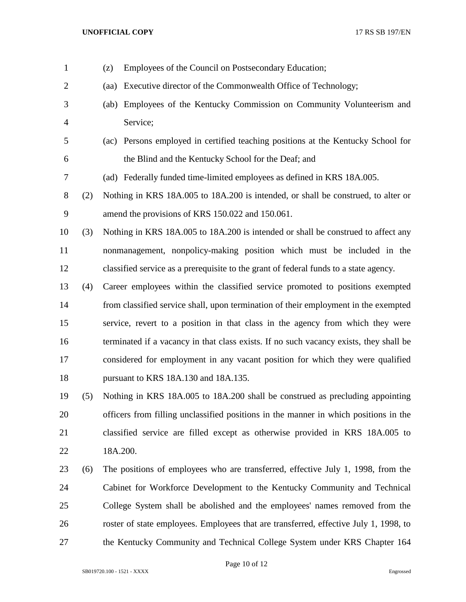| $\mathbf{1}$   |     | (z)  | Employees of the Council on Postsecondary Education;                                   |
|----------------|-----|------|----------------------------------------------------------------------------------------|
| $\overline{2}$ |     | (aa) | Executive director of the Commonwealth Office of Technology;                           |
| 3              |     | (ab) | Employees of the Kentucky Commission on Community Volunteerism and                     |
| $\overline{4}$ |     |      | Service;                                                                               |
| 5              |     | (ac) | Persons employed in certified teaching positions at the Kentucky School for            |
| 6              |     |      | the Blind and the Kentucky School for the Deaf; and                                    |
| 7              |     |      | (ad) Federally funded time-limited employees as defined in KRS 18A.005.                |
| $8\,$          | (2) |      | Nothing in KRS 18A.005 to 18A.200 is intended, or shall be construed, to alter or      |
| 9              |     |      | amend the provisions of KRS 150.022 and 150.061.                                       |
| 10             | (3) |      | Nothing in KRS 18A.005 to 18A.200 is intended or shall be construed to affect any      |
| 11             |     |      | nonmanagement, nonpolicy-making position which must be included in the                 |
| 12             |     |      | classified service as a prerequisite to the grant of federal funds to a state agency.  |
| 13             | (4) |      | Career employees within the classified service promoted to positions exempted          |
| 14             |     |      | from classified service shall, upon termination of their employment in the exempted    |
| 15             |     |      | service, revert to a position in that class in the agency from which they were         |
| 16             |     |      | terminated if a vacancy in that class exists. If no such vacancy exists, they shall be |
| 17             |     |      | considered for employment in any vacant position for which they were qualified         |
| 18             |     |      | pursuant to KRS 18A.130 and 18A.135.                                                   |
| 19             | (5) |      | Nothing in KRS 18A,005 to 18A,200 shall be construed as precluding appointing          |
| 20             |     |      | officers from filling unclassified positions in the manner in which positions in the   |
| 21             |     |      | classified service are filled except as otherwise provided in KRS 18A.005 to           |
| 22             |     |      | 18A.200.                                                                               |
| 23             | (6) |      | The positions of employees who are transferred, effective July 1, 1998, from the       |
| 24             |     |      | Cabinet for Workforce Development to the Kentucky Community and Technical              |
| 25             |     |      | College System shall be abolished and the employees' names removed from the            |
| 26             |     |      | roster of state employees. Employees that are transferred, effective July 1, 1998, to  |
| 27             |     |      | the Kentucky Community and Technical College System under KRS Chapter 164              |

Page 10 of 12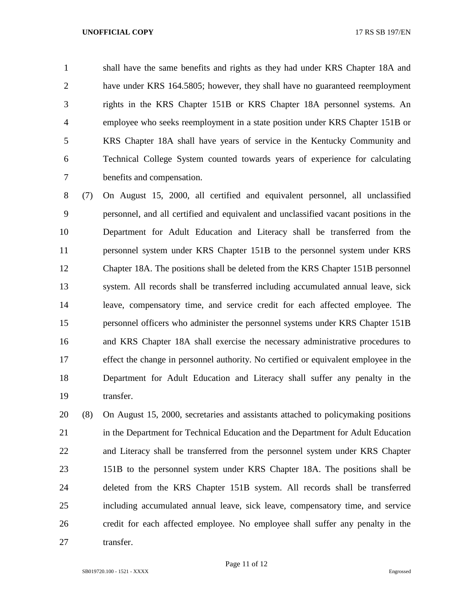shall have the same benefits and rights as they had under KRS Chapter 18A and have under KRS 164.5805; however, they shall have no guaranteed reemployment rights in the KRS Chapter 151B or KRS Chapter 18A personnel systems. An employee who seeks reemployment in a state position under KRS Chapter 151B or KRS Chapter 18A shall have years of service in the Kentucky Community and Technical College System counted towards years of experience for calculating benefits and compensation.

 (7) On August 15, 2000, all certified and equivalent personnel, all unclassified personnel, and all certified and equivalent and unclassified vacant positions in the Department for Adult Education and Literacy shall be transferred from the personnel system under KRS Chapter 151B to the personnel system under KRS Chapter 18A. The positions shall be deleted from the KRS Chapter 151B personnel system. All records shall be transferred including accumulated annual leave, sick leave, compensatory time, and service credit for each affected employee. The personnel officers who administer the personnel systems under KRS Chapter 151B and KRS Chapter 18A shall exercise the necessary administrative procedures to effect the change in personnel authority. No certified or equivalent employee in the Department for Adult Education and Literacy shall suffer any penalty in the transfer.

 (8) On August 15, 2000, secretaries and assistants attached to policymaking positions in the Department for Technical Education and the Department for Adult Education and Literacy shall be transferred from the personnel system under KRS Chapter 151B to the personnel system under KRS Chapter 18A. The positions shall be deleted from the KRS Chapter 151B system. All records shall be transferred including accumulated annual leave, sick leave, compensatory time, and service credit for each affected employee. No employee shall suffer any penalty in the 27 transfer.

Page 11 of 12